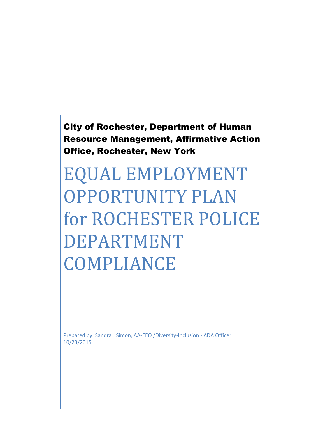City of Rochester, Department of Human Resource Management, Affirmative Action Office, Rochester, New York

EQUAL EMPLOYMENT OPPORTUNITY PLAN for ROCHESTER POLICE DEPARTMENT COMPLIANCE

Prepared by: Sandra J Simon, AA-EEO /Diversity-Inclusion - ADA Officer 10/23/2015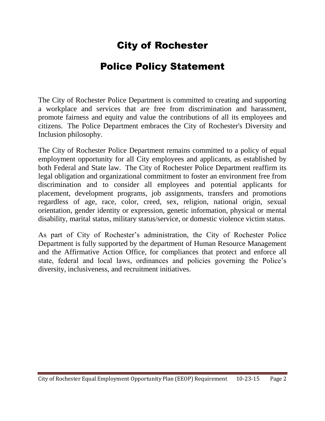# City of Rochester

## Police Policy Statement

The City of Rochester Police Department is committed to creating and supporting a workplace and services that are free from discrimination and harassment, promote fairness and equity and value the contributions of all its employees and citizens. The Police Department embraces the City of Rochester's Diversity and Inclusion philosophy.

The City of Rochester Police Department remains committed to a policy of equal employment opportunity for all City employees and applicants, as established by both Federal and State law. The City of Rochester Police Department reaffirm its legal obligation and organizational commitment to foster an environment free from discrimination and to consider all employees and potential applicants for placement, development programs, job assignments, transfers and promotions regardless of age, race, color, creed, sex, religion, national origin, sexual orientation, gender identity or expression, genetic information, physical or mental disability, marital status, military status/service, or domestic violence victim status.

As part of City of Rochester's administration, the City of Rochester Police Department is fully supported by the department of Human Resource Management and the Affirmative Action Office, for compliances that protect and enforce all state, federal and local laws, ordinances and policies governing the Police's diversity, inclusiveness, and recruitment initiatives.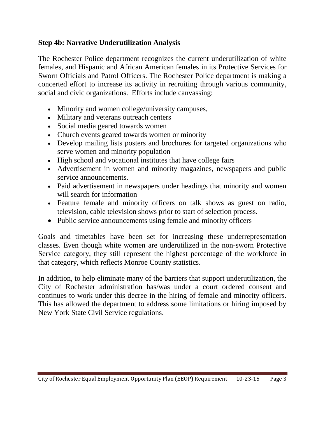### **Step 4b: Narrative Underutilization Analysis**

The Rochester Police department recognizes the current underutilization of white females, and Hispanic and African American females in its Protective Services for Sworn Officials and Patrol Officers. The Rochester Police department is making a concerted effort to increase its activity in recruiting through various community, social and civic organizations. Efforts include canvassing:

- Minority and women college/university campuses,
- Military and veterans outreach centers
- Social media geared towards women
- Church events geared towards women or minority
- Develop mailing lists posters and brochures for targeted organizations who serve women and minority population
- High school and vocational institutes that have college fairs
- Advertisement in women and minority magazines, newspapers and public service announcements.
- Paid advertisement in newspapers under headings that minority and women will search for information
- Feature female and minority officers on talk shows as guest on radio, television, cable television shows prior to start of selection process.
- Public service announcements using female and minority officers

Goals and timetables have been set for increasing these underrepresentation classes. Even though white women are underutilized in the non-sworn Protective Service category, they still represent the highest percentage of the workforce in that category, which reflects Monroe County statistics.

In addition, to help eliminate many of the barriers that support underutilization, the City of Rochester administration has/was under a court ordered consent and continues to work under this decree in the hiring of female and minority officers. This has allowed the department to address some limitations or hiring imposed by New York State Civil Service regulations.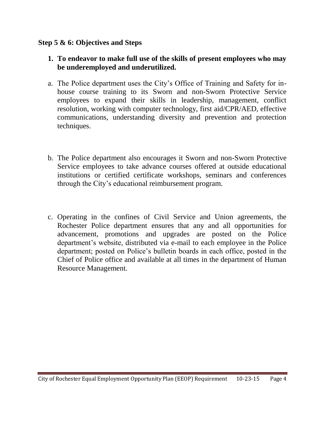### **Step 5 & 6: Objectives and Steps**

- **1. To endeavor to make full use of the skills of present employees who may be underemployed and underutilized.**
- a. The Police department uses the City's Office of Training and Safety for inhouse course training to its Sworn and non-Sworn Protective Service employees to expand their skills in leadership, management, conflict resolution, working with computer technology, first aid/CPR/AED, effective communications, understanding diversity and prevention and protection techniques.
- b. The Police department also encourages it Sworn and non-Sworn Protective Service employees to take advance courses offered at outside educational institutions or certified certificate workshops, seminars and conferences through the City's educational reimbursement program.
- c. Operating in the confines of Civil Service and Union agreements, the Rochester Police department ensures that any and all opportunities for advancement, promotions and upgrades are posted on the Police department's website, distributed via e-mail to each employee in the Police department; posted on Police's bulletin boards in each office, posted in the Chief of Police office and available at all times in the department of Human Resource Management.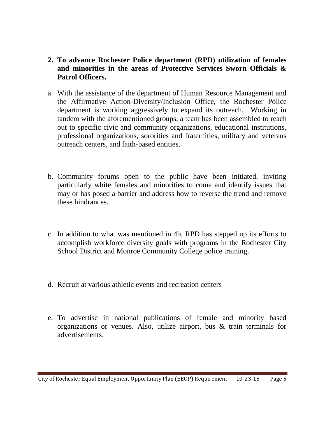- **2. To advance Rochester Police department (RPD) utilization of females and minorities in the areas of Protective Services Sworn Officials & Patrol Officers.**
- a. With the assistance of the department of Human Resource Management and the Affirmative Action-Diversity/Inclusion Office, the Rochester Police department is working aggressively to expand its outreach. Working in tandem with the aforementioned groups, a team has been assembled to reach out to specific civic and community organizations, educational institutions, professional organizations, sororities and fraternities, military and veterans outreach centers, and faith-based entities.
- b. Community forums open to the public have been initiated, inviting particularly white females and minorities to come and identify issues that may or has posed a barrier and address how to reverse the trend and remove these hindrances.
- c. In addition to what was mentioned in 4b, RPD has stepped up its efforts to accomplish workforce diversity goals with programs in the Rochester City School District and Monroe Community College police training.
- d. Recruit at various athletic events and recreation centers
- e. To advertise in national publications of female and minority based organizations or venues. Also, utilize airport, bus & train terminals for advertisements.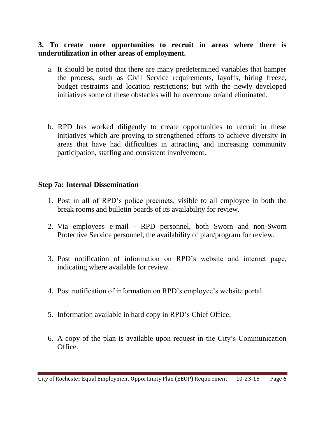### **3. To create more opportunities to recruit in areas where there is underutilization in other areas of employment.**

- a. It should be noted that there are many predetermined variables that hamper the process, such as Civil Service requirements, layoffs, hiring freeze, budget restraints and location restrictions; but with the newly developed initiatives some of these obstacles will be overcome or/and eliminated.
- b. RPD has worked diligently to create opportunities to recruit in these initiatives which are proving to strengthened efforts to achieve diversity in areas that have had difficulties in attracting and increasing community participation, staffing and consistent involvement.

### **Step 7a: Internal Dissemination**

- 1. Post in all of RPD's police precincts, visible to all employee in both the break rooms and bulletin boards of its availability for review.
- 2. Via employees e-mail RPD personnel, both Sworn and non-Sworn Protective Service personnel, the availability of plan/program for review.
- 3. Post notification of information on RPD's website and internet page, indicating where available for review.
- 4. Post notification of information on RPD's employee's website portal.
- 5. Information available in hard copy in RPD's Chief Office.
- 6. A copy of the plan is available upon request in the City's Communication **Office**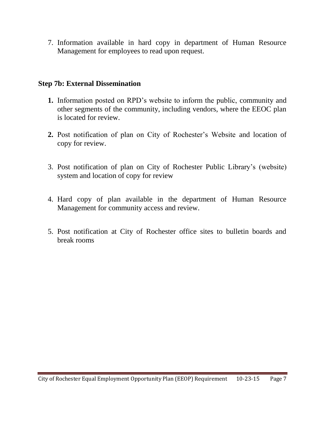7. Information available in hard copy in department of Human Resource Management for employees to read upon request.

### **Step 7b: External Dissemination**

- **1.** Information posted on RPD's website to inform the public, community and other segments of the community, including vendors, where the EEOC plan is located for review.
- **2.** Post notification of plan on City of Rochester's Website and location of copy for review.
- 3. Post notification of plan on City of Rochester Public Library's (website) system and location of copy for review
- 4. Hard copy of plan available in the department of Human Resource Management for community access and review.
- 5. Post notification at City of Rochester office sites to bulletin boards and break rooms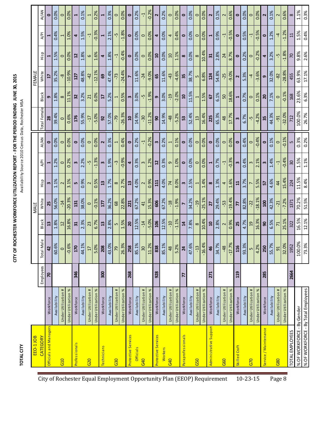# CITY OF ROCHESTER WORKFORCE UTILIZATION REPORT - FOR THE PERIOD ENDING JUNE 30, 2015 **CITY OF ROCHESTER WORKFORCE UTILIZATION REPORT - FOR THE PERIOD ENDING JUNE 30, 2015**

**TOTAL CITY** 

Availability Source 2010 Census Data, Rochester MSA **TOTAL CITY** Availability Source 2010 Census Data, Rochester MSA

| <b>Officials and Managers</b><br><b>CATEGORY</b> |                                                                                                                 | Employees                                                         | $\frac{e}{\pi}$<br>Total Ma | Black                   | White          | Hisp                     | A/PI                    | AI/AN                   | Total Female  | Black                    | White                   | Hisp              | A/PI         |                         |
|--------------------------------------------------|-----------------------------------------------------------------------------------------------------------------|-------------------------------------------------------------------|-----------------------------|-------------------------|----------------|--------------------------|-------------------------|-------------------------|---------------|--------------------------|-------------------------|-------------------|--------------|-------------------------|
|                                                  |                                                                                                                 |                                                                   |                             |                         |                |                          |                         |                         |               |                          |                         |                   |              | AI/AN                   |
|                                                  | Workforce                                                                                                       | $\overline{\mathbf{z}}$                                           | $\overline{a}$              | 13                      | 25             | m                        | $\mathbf{\overline{1}}$ | 0                       | 28            | 9                        | $\overline{17}$         | $\mathbf{\bar{}}$ | 1            | $\bullet$               |
|                                                  | Availability                                                                                                    |                                                                   | 60.6%                       | 1.8%                    | 56.0%          | 1.1%                     | 1.2%                    | 0.0%                    | 39.4%         | 1.8%                     | 35.2%                   | 1.5%              | 0.4%         | 0.0%                    |
|                                                  | Under Utilization #                                                                                             |                                                                   | $\circ$                     | $\overline{c}$          | $-14$          | $\sim$                   | $\circ$                 | $\circ$                 | $\circ$       | $\infty$                 | ထု                      | $\circ$           |              | $\circ$                 |
|                                                  | ৯<br>Under Utilization                                                                                          |                                                                   | $-0.6%$                     | 16.8%                   | $-20.3%$       | 3.1%                     | 0.2%                    | 0.0%                    | 0.6%          | 11.1%                    | $-10.9%$                | 0.0%              | 1.0%         | 0.0%                    |
| <b>Professionals</b>                             | Workforce                                                                                                       | 346                                                               | 170                         | $\overline{31}$         | 131            | LŊ                       | $\mathbf{c}$            | $\bullet$               | 176           | 32                       | 127                     | $\overline{12}$   | 4            |                         |
|                                                  | Availability                                                                                                    |                                                                   | 44.1%                       | 2.3%                    | 38.0%          | 0.9%                     | 2.2%                    | 0.0%                    | 55.9%         | 3.2%                     | 48.8%                   | 1.8%              | 1.5%         | 0.1%                    |
|                                                  | Under Utilization #                                                                                             |                                                                   | 17                          | 23                      | $\circ$        | $\sim$                   | က္                      | $\circ$                 | $-17$         | 21                       | $-42$                   | 6                 | 7            |                         |
|                                                  | ৯<br>Under Utilization                                                                                          |                                                                   | 5.0%                        | 6.7%                    | $-0.1%$        | 0.5%                     | $-1.3%$                 | 0.0%                    | $-5.0%$       | 6.0%                     | $-12.1%$                | 1.6%              | $-0.3%$      | 0.2%                    |
| <b>Technicians</b>                               | Workforce                                                                                                       | 300                                                               | 208                         | $\mathbf{a}$            | 177            | $\mathbf{13}$            | w                       | $\overline{\mathbf{r}}$ | 92            | 17                       | ශී                      | 4                 | 1            | $\mathbf{r}$            |
|                                                  | Availability                                                                                                    |                                                                   | 43.0%                       | 2.8%                    | 36.2%          | 1.7%                     | 1.9%                    | 0.3%                    | 57.0%         | 5.2%                     | 47.4%                   | 1.8%              | 2.1%         | 0.3%                    |
|                                                  | Under Utilization #                                                                                             |                                                                   | 79                          | LŊ                      | 68             | $\infty$                 | ್ರೆ                     | $\mathbf{\overline{1}}$ | -79           | $\overline{\phantom{0}}$ | $-73$                   | 7                 | ၯ            | $\circ$                 |
|                                                  | Under Utilization %                                                                                             |                                                                   | 26.3%                       | 1.5%                    | 22.8%          | 2.7%                     | $-0.9%$                 | 0.4%                    | $-26.3%$      | 0.5%                     | $-24.4%$                | $-0.4%$           | $-1.8%$      | 0.0%                    |
| Protective Services                              | Workforce                                                                                                       | 268                                                               | 258                         | $\overline{\mathbf{S}}$ | 221            | $\mathbf{13}$            | 4                       | $\bullet$               | $\mathbf{a}$  | w                        | N                       | $\bullet$         | 0            | $\bullet$               |
| Officials                                        | Availability                                                                                                    |                                                                   | 85.1%                       | 12.5%                   | 67.2%          | 4.0%                     | 0.3%                    | 0.2%                    | 14.9%         | 3.0%                     | 11.6%                   | 0.0%              | 0.0%         | 0.2%                    |
|                                                  | Under Utilization                                                                                               |                                                                   | 30                          | $-14$                   | 41             | 2                        | 3                       | Ļ                       | -30           | Ļ                        | $-24$                   | $\circ$           | $\circ$      | Ļ                       |
|                                                  | ৯<br>Under Utilization                                                                                          |                                                                   | 11.2%                       | $-5.0%$                 | 15.3%          | 0.9%                     | 1.2%                    | $-0.2%$                 | $-11.2%$      | $-1.9%$                  | $-9.0%$                 | 0.0%              | 0.0%         | $-0.2%$                 |
| Protective Services                              | Workforce                                                                                                       | 928                                                               | 838                         | 106                     | 606            | 111                      | $\overline{12}$         | $\bullet$               | இ             | $\bullet$                | 65                      | $\mathbf{a}$      | 4            | $\overline{\mathbf{r}}$ |
| <b>Workers</b>                                   | Availability                                                                                                    |                                                                   | 85.1%                       | 12.5%                   | 67.2%          | 4.0%                     | 0.3%                    | 0.2%                    | 14.9%         | 3.0%                     | 11.6%                   | 0.0%              | 0.0%         | 0.2%                    |
|                                                  | Under Utilization #                                                                                             |                                                                   | 48                          | $-10$                   | $-18$          | 74                       | ō                       | $\overline{a}$          | $-48$         | $-19$                    | -43                     | $\Box$            | 4            | $\circ$                 |
|                                                  | ℅<br>Under Utilization                                                                                          |                                                                   | 5.2%                        | $-1.1%$                 | $-1.9%$        | 8.0%                     | 1.0%                    | 0.1%                    | $-5.2%$       | $-2.0%$                  | $-4.6%$                 | 1.1%              | 0.4%         | 0.0%                    |
|                                                  | Workforce                                                                                                       | 77                                                                | 24                          | $\overline{a}$          | $\overline{ }$ | $\boldsymbol{\omega}$    | $\circ$                 | $\circ$                 | 53            | $\overline{a}$           | 35                      | $\infty$          | $\circ$      | $\bullet$               |
|                                                  | Availability                                                                                                    |                                                                   | 47.6%                       | 7.8%                    | 34.2%          | 2.5%                     | 0.0%                    | 0.0%                    | 52.4%         | 11.5%                    | 38.7%                   | 0.0%              | 0.0%         | 0.0%                    |
|                                                  | Under Utilization #                                                                                             |                                                                   | $-13$                       | $\infty$                | <b>pt</b> -    | $\overline{ }$           | $\circ$                 | $\circ$                 | $\mathbf{r}$  | 1                        | LN.                     | $\infty$          | $\circ$      | $\circ$                 |
|                                                  | ৯<br>Under Utilization                                                                                          |                                                                   | $-16.4%$                    | 10.4%                   | $-25.1%$       | 1.4%                     | 0.0%                    | 0.0%                    | 16.4%         | 1.5%                     | 6.8%                    | 10.4%             | 0.0%         | 0.0%                    |
|                                                  | Workforce                                                                                                       | 271                                                               | 46                          | $\mathbf{a}$            | 27             | $\infty$                 |                         | $\bullet$               | 225           | 29                       | 124                     | 31                |              | $\overline{\mathbf{r}}$ |
|                                                  | Availability                                                                                                    |                                                                   | 34.7%                       | 2.8%                    | 29.4%          | 1.3%                     | 0.7%                    | 0.0%                    | 65.3%         | 6.1%                     | 54.8%                   | 2.8%              | 0.9%         | 0.1%                    |
|                                                  | Under Utilization #                                                                                             |                                                                   | $-48$                       | $\sim$                  | -53            | 4                        | 7                       | $\circ$                 | $\frac{8}{2}$ | 50                       | $-25$                   | 24                | 7            | $\overline{\mathsf{C}}$ |
|                                                  | Under Utilization %                                                                                             |                                                                   | $-17.7%$                    | 0.9%                    | $-19.4%$       | 1.6%                     | $-0.3%$                 | 0.0%                    | 17.7%         | 18.6%                    | $-9.0%$                 | 8.7%              | $-0.5%$      | 0.6%                    |
|                                                  | Workforce                                                                                                       | 119                                                               | 116                         | 25                      | 77             | $\mathbf{r}$             | w                       | $\bullet$               | w             | $\blacksquare$           | $\overline{\mathbf{r}}$ | $\bullet$         | $\bullet$    | $\bullet$               |
|                                                  | Availability                                                                                                    |                                                                   | 93.3%                       | 4.7%                    | 82.8%          | 3.7%                     | 0.4%                    | 0.4%                    | 6.7%          | 0.7%                     | 5.3%                    | 0.2%              | 0.5%         | 0.0%                    |
|                                                  | Under Utilization #                                                                                             |                                                                   | $\overline{a}$              | $\overline{a}$          | $-22$          | $\overline{ }$           | 3                       | $\circ$                 | ၯ             | $\circ$                  | $\overline{4}$          | $\circ$           | 7            | $\circ$                 |
|                                                  | Under Utilization %                                                                                             |                                                                   |                             | 16.3%                   | $-18.1%$       | 5.5%                     | 2.1%                    | $-0.4%$                 | $-4.2%$       | 0.1%                     | $-3.6%$                 | $-0.2%$           | $-0.5%$      | 0.0%                    |
|                                                  | Workforce                                                                                                       | 285                                                               | 250                         | இ                       | <b>OOT</b>     | 57                       | m                       | $\bullet$               | 35            | $\overline{20}$          | ഐ                       | 4                 | $\bullet$    | 2                       |
|                                                  | Availability                                                                                                    |                                                                   | 55.7%                       | 6.5%                    | 42.3%          | 4.6%                     | 1.4%                    | 0.1%                    | 44.3%         | 7.1%                     | 32.0%                   | 3.2%              | 1.2%         | 0.1%                    |
|                                                  | #<br>Under Utilization                                                                                          |                                                                   | 5 <sup>1</sup>              |                         | $-21$          | $\overline{\mathcal{A}}$ | 7                       | $\circ$                 | $-91$         | $\circ$                  | $-82$                   | က္                | 4            | 2                       |
|                                                  | ৯<br>Under Utilization                                                                                          |                                                                   | 32.0%                       | 25.1%                   | $-7.2%$        | 15.4%                    | $-0.4%$                 | $-0.1%$                 | $-32.0%$      | $-0.1%$                  | $-28.8%$                | $-1.8%$           | $-1.2%$      | 0.6%                    |
|                                                  |                                                                                                                 | 2664                                                              | 1952                        | 322                     | 1371           | 224                      | $\overline{30}$         | 5                       | 712           | 168                      | 455                     | 70                | $\mathbf{1}$ | $\infty$                |
|                                                  |                                                                                                                 |                                                                   | 100.0%                      | 16.5%                   | 70.2%          | 11.5%                    | 1.5%                    | 0.3%                    | 100.0%        | 23.6%                    | 63.9%                   | 9.8%              | 1.5%         | 1.1%                    |
|                                                  |                                                                                                                 |                                                                   | 73.3%                       | 12.1%                   | 51.5%          | 8.4%                     | 1.1%                    | 0.2%                    | 26.7%         | 6.3%                     | 17.1%                   | 2.6%              | 0.4%         | 0.3%                    |
|                                                  | <b>Administrative Support</b><br>Service / Maintenance<br>TOTAL EMPLOYEES<br>Paraprofessionals<br>Skilled Craft | % OF WORKFORCE - By Total Employees<br>% OF WORKFORCE - By Gender |                             | 4.2%                    |                |                          |                         |                         |               |                          |                         |                   |              |                         |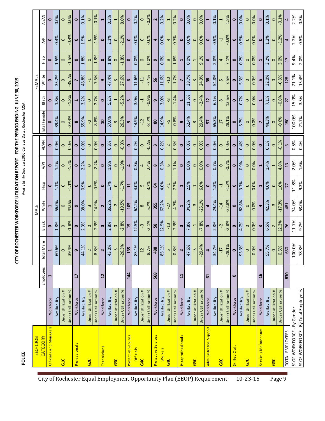| S<br>S<br>S<br>S<br>S<br>S<br>S<br>S<br>S<br>S<br>S<br>S<br>S<br><br><br><br><br>           |
|---------------------------------------------------------------------------------------------|
|                                                                                             |
| <b>ELEN PONTE FL</b>                                                                        |
| ミンジン シューマン                                                                                  |
|                                                                                             |
| <b>ITY OF ROCHESTER WORKEORCE ITTILIZATION REPORT - EOR THE PERIOD ENDING LIINE 30 2015</b> |
|                                                                                             |

POLICE

Availability Source 2000 Census Data, Rochester MSA  **POLICE** Availability Source 2000 Census Data, Rochester MSA

|                                                                        | EEO-1JOB                            |                           |                       |               |           | MALE                    |              |                      |              |                    |                      | FEMALE    |                 |           |           |
|------------------------------------------------------------------------|-------------------------------------|---------------------------|-----------------------|---------------|-----------|-------------------------|--------------|----------------------|--------------|--------------------|----------------------|-----------|-----------------|-----------|-----------|
|                                                                        | <b>CATEGORY</b>                     |                           | Employees             | Male<br>Total | Black     | White                   | Hisp         | A/PI                 | AI/AN        | Total Female       | Black                | White     | Hisp            | A/PI      | AI/AN     |
|                                                                        | Officials and Managers              | Workforce                 | $\mathbf{\mathbf{t}}$ | ᆏ             | $\bullet$ |                         | 0            | $\bullet$            | $\bullet$    | $\bullet$          | 0                    | 0         | $\bullet$       | 0         | $\bullet$ |
|                                                                        |                                     | Availability              |                       | 60.6%         | 1.8%      | 56.0%                   | 1.1%         | 1.2%                 | 0.0%         | 39.4%              | 1.8%                 | 35.2%     | 1.5%            | 0.4%      | 0.0%      |
|                                                                        | G <sub>10</sub>                     | Under Utilization         |                       | $\circ$       | $\circ$   | $\circ$                 | $\circ$      | $\circ$              | $\circ$      | $\circ$            | $\circ$              | $\circ$   | $\circ$         | $\circ$   | $\circ$   |
|                                                                        |                                     | ৯<br>Under Utilization    |                       | 39.4%         | $-1.8%$   | 44.0%                   | $-1.1%$      | $-1.2%$              | 0.0%         | $-39.4%$           | $-1.8%$              | $-35.2%$  | $-1.5%$         | $-0.4%$   | 0.0%      |
|                                                                        | Professionals                       | Workforce                 | H                     | თ             | $\bullet$ | თ                       | $\bullet$    | $\bullet$            | $\bullet$    | $\infty$           | $\blacktriangleleft$ |           | $\bullet$       | $\bullet$ | $\bullet$ |
|                                                                        |                                     | Availability              |                       | 44.1%         | 2.3%      | 38.0%                   | 0.9%         | 2.2%                 | 0.0%         | 55.9%              | 3.2%                 | 48.8%     | 1.8%            | 1.5%      | 0.1%      |
|                                                                        | 620                                 | Under Utilization #       |                       | $\sim$        | $\circ$   | $\infty$                | $\circ$      | $\circ$              | $\circ$      | <b>ب</b>           | $\circ$              | Ļ         | $\circ$         | $\circ$   | $\circ$   |
|                                                                        |                                     | $\%$<br>Under Utilization |                       | 8.8%          | $-2.3%$   | 14.9%                   | $-0.9%$      | $-2.2%$              | 0.0%         | $-8.8%$            | 2.7%                 | $-7.6%$   | $-1.8%$         | $-1.5%$   | $-0.1%$   |
| City of Rochester Equal Employment Opportunity Plan (EEOP) Requirement | <b>Technicians</b>                  | Workforce                 | $\overline{12}$       | $\sim$        | $\bullet$ | $\overline{\mathbf{r}}$ | $\bullet$    | $\bullet$            | $\bullet$    | $\mathbf{a}$       | $\bullet$            | თ         | $\bullet$       | $\bullet$ |           |
|                                                                        |                                     | Availability              |                       | 43.0%         | 2.8%      | 36.2%                   | 1.7%         | 1.9%                 | 0.3%         | 57.0%              | 5.2%                 | 47.4%     | 1.8%            | 2.1%      | 0.3%      |
|                                                                        | G30                                 | Under Utilization #       |                       | ن.<br>.       | $\circ$   | Ļ                       | $\circ$      | $\circ$              | $\circ$      | $\infty$           | 7                    | 3         | $\circ$         | $\circ$   | Ţ         |
|                                                                        |                                     | $\%$<br>Under Utilization |                       | $-26.3%$      | $-2.8%$   | $-19.5%$                | $-1.7%$      | $-1.9%$              | $-0.3%$      | 26.3%              | $-5.2%$              | 27.6%     | $-1.8%$         | $-2.1%$   | 8.0%      |
|                                                                        | Protective Services                 | Workforce                 | 144                   | 135           | 15        | 105                     | $\mathbf{r}$ | 4                    | $\bullet$    | თ                  | w                    | 9         | $\bullet$       | $\bullet$ | $\bullet$ |
|                                                                        | Officials                           | Availability              |                       | 85.1%         | 12.5%     | 67.2%                   | 4.0%         | 0.3%                 | 0.2%         | 14.9%              | 3.0%                 | 11.6%     | 0.0%            | 0.0%      | 0.2%      |
|                                                                        | G40                                 | Under Utilization         |                       | $\Xi$         | ကု        | $\infty$                | LŊ           | 4                    | $\circ$      | $-12$              | 7                    | -11       | $\circ$         | $\circ$   | $\circ$   |
|                                                                        |                                     | $\%$<br>Under Utilization |                       | 8.7%          | $-2.1%$   | 5.7%                    | 3.7%         | 2.4%                 | $-0.2%$      | $-8.7%$            | $-0.9%$              | $-7.4%$   | 0.0%            | 0.0%      | $-0.2%$   |
|                                                                        | Protective Services                 | Workforce                 | 568                   | 488           | 58        | 355                     | $\mathbf{a}$ | $\infty$             | $\mathbf{m}$ | $\pmb{\mathsf{S}}$ | $\sigma$             | 95        | თ               | 4         | 2         |
|                                                                        | Workers                             | Availability              |                       | 85.1%         | 12.5%     | 67.2%                   | 4.0%         | 0.3%                 | 0.2%         | 14.9%              | 3.0%                 | 11.6%     | 0.0%            | 0.0%      | 0.2%      |
|                                                                        | G40                                 | Under Utilization #       |                       | LŊ            | $-13$     | $-27$                   | 41           | 9                    | $\sim$       | ပ္ပ                | œ                    | $-10$     | 9               | 4         |           |
|                                                                        |                                     | ৯<br>Under Utilization    |                       | 0.8%          | $-2.3%$   | $-4.7%$                 | 7.3%         | 1.1%                 | 0.3%         | $-0.8%$            | $-1.4%$              | $-1.7%$   | 1.6%            | 0.7%      | 0.2%      |
|                                                                        | Paraprofessionals                   | Workforce                 | ដ                     | $\sim$        | $\bullet$ |                         |              | $\bullet$            | $\bullet$    | თ                  |                      |           |                 | 0         | $\bullet$ |
|                                                                        |                                     | Availability              |                       | 47.6%         | 7.8%      | 34.2%                   | 2.5%         | 0.0%                 | 0.0%         | 52.4%              | 11.5%                | 38.7%     | 0.0%            | 0.0%      | 0.0%      |
|                                                                        | G50                                 | Under Utilization #       |                       | ن.<br>س       | Ļ         | ကု                      | 1            | $\circ$              | $\circ$      | $\omega$           | $\circ$              | 3         | 1               | $\circ$   | $\circ$   |
|                                                                        |                                     | $\%$<br>Under Utilization |                       | $-29.4%$      | $-7.8%$   | $-25.1%$                | 6.6%         | 0.0%                 | 0.0%         | 29.4%              | $-2.4%$              | 24.9%     | 9.1%            | 0.0%      | 0.0%      |
|                                                                        | Administrative Support              | Workforce                 | 5                     | 4             | 0         | 4                       | 0            | $\bullet$            | $\bullet$    | 5                  | $\mathbf{r}$         | 38        | 6               | $\bullet$ |           |
|                                                                        |                                     | Availability              |                       | 34.7%         | 2.8%      | 29.4%                   | 1.3%         | 0.7%                 | 0.0%         | 65.3%              | 6.1%                 | 54.8%     | 2.8%            | 0.9%      | 0.1%      |
|                                                                        | G60                                 | Under Utilization #       |                       | LT-           | Ļ-        | $-14$                   | 7            | $\circ$              | $\circ$      | $\overline{17}$    | $\infty$             | LŊ        | 4               | Ļ         |           |
|                                                                        |                                     | Under Utilization %       |                       | $-28.1%$      | $-2.8%$   | $-22.8%$                | $-1.3%$      | $-0.7%$              | 0.0%         | 28.1%              | 13.6%                | 7.5%      | 7.1%            | $-0.9%$   | 1.5%      |
|                                                                        | Skilled Craft                       | Workforce                 | $\bullet$             | $\bullet$     | $\bullet$ | $\bullet$               | $\bullet$    | $\bullet$            | $\bullet$    | $\bullet$          | $\bullet$            | $\bullet$ | $\bullet$       | $\bullet$ | 0         |
| $10 - 23 - 15$                                                         |                                     | Availability              |                       | 93.3%         | 4.7%      | 82.8%                   | 3.7%         | 0.9%                 | 0.4%         | 6.7%               | 0.7%                 | 5.3%      | 0.2%            | 0.5%      | 0.0%      |
|                                                                        | G70                                 | Under Utilization #       |                       | $\circ$       | $\circ$   | $\circ$                 | $\circ$      | $\circ$              | $\circ$      | $\circ$            | $\circ$              | $\circ$   | $\circ$         | $\circ$   | $\circ$   |
|                                                                        |                                     | Under Utilization %       |                       | 0.0%          | 0.0%      | 0.0%                    | 0.0%         | 0.0%                 | 0.0%         | 0.0%               | 0.0%                 | 0.0%      | 0.0%            | 0.0%      | 0.0%      |
|                                                                        | Service / Maintenance               | Workforce                 | 9F                    | თ $\,$        | w         | 4                       | 1            | $\blacktriangleleft$ | $\bullet$    | $\overline{ }$     | 1                    | n,        | 4               | 0         | 0         |
|                                                                        |                                     | Availability              |                       | 55.7%         | 6.5%      | 42.3%                   | 4.6%         | 1.4%                 | 0.1%         | 44.3%              | 7.1%                 | 32.0%     | 3.2%            | 1.2%      | 0.1%      |
| Page 9                                                                 | G80                                 | ♯<br>Under Utilization    |                       | $\circ$       |           |                         | $\circ$      | $\overline{ }$       | $\circ$      | $\circ$            | $\circ$              | $\circ$   | $\circ$         | $\circ$   | $\circ$   |
|                                                                        |                                     | $\%$<br>Under Utilization |                       | 0.5%          | 12.3%     | $-17.3%$                | 1.6%         | 4.8%                 | $-0.1%$      | $-0.6%$            | $-0.8%$              | $-0.8%$   | 3.0%            | $-1.2%$   | $-0.1%$   |
|                                                                        | TOTAL EMPLOYEES                     |                           | 830                   | 650           | 76        | 481                     | 77           | $\mathbf{13}$        | $\infty$     | 180                | 27                   | 128       | $\overline{17}$ | 4         | 4         |
|                                                                        | % OF WORKFORCE - By Gender          |                           |                       | 0%<br>100.    | 11.7%     | 74.0%                   | 11.8%        | 2.0%                 | 0.5%         | 100.0%             | 15.0%                | 71.1%     | 9.4%            | 2.2%      | 2.2%      |
|                                                                        | % OF WORKFORCE - By Total Employees |                           |                       | 78.3%         | 9.2%      | 58.0%                   | 9.3%         | 1.6%                 | 0.4%         | 21.7%              | 3.3%                 | 15.4%     | 2.0%            | 0.5%      | 0.5%      |
|                                                                        |                                     |                           |                       |               |           |                         |              |                      |              |                    |                      |           |                 |           |           |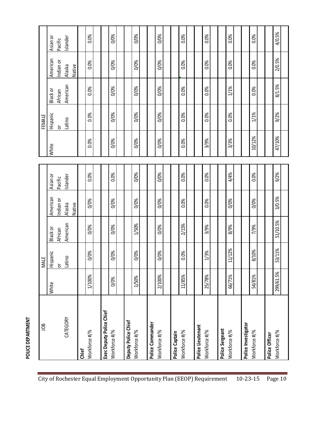| ЭQГ                                       |           | <b>MALE</b> |                     |                     |                     |        | FEMALE                        |                     |                     |                     |
|-------------------------------------------|-----------|-------------|---------------------|---------------------|---------------------|--------|-------------------------------|---------------------|---------------------|---------------------|
|                                           | White     | Hispanic    | Black or            | American            | Asian or            | White  | Hispanic                      | Black or            | American            | Asian or            |
| CATEGORY                                  |           | Latino<br>ŏ | American<br>African | Indian or<br>Alaska | Islander<br>Pacific |        | Latino<br>$\overline{\sigma}$ | American<br>African | Indian or<br>Alaska | Islander<br>Pacific |
|                                           |           |             |                     | Native              |                     |        |                               |                     | Native              |                     |
| Workforce #/%<br>Chief                    | 1/100%    | 0/0%        | 0/0%                | 0/0%                | 0.0%                | 0.0%   | 0.0%                          | 0.0%                | 0.0%                | 0.0%                |
| Exec Deputy Police Chief<br>Workforce #/% | 0/0%      | 0/0%        | 0/0%                | 0/0%                | 0.0%                | 0/0%   | 0/0%                          | 0/0%                | 0/0%                | 0/0%                |
| Deputy Police Chief<br>Workforce #/%      | 1/50%     | 0/0%        | 1/50%               | 0/0%                | 0/0%                | 0/0%   | 0/0%                          | 0/0%                | 0/0%                | 0/0%                |
| Police Commander<br>Workforce #/%         | 2/100%    | 0/0%        | 0/0%                | 0/0%                | 0/0%                | 0/0%   | 0/0%                          | 0/0%                | 0/0%                | 0/0%                |
| Workforce #/%<br>Police Captain           | 11/85%    | 0.0%        | 2/15%               | 0.0%                | 0.0%                | 0.0%   | 0.0%                          | 0.0%                | 0.0%                | 0.0%                |
| Police Lieutenant<br>Workforce #/%        | 25/78%    | 1/3%        | 3/9%                | 0.0%                | 0.0%                | 3/9%   | 0.0%                          | 0.0%                | 0.0%                | 0.0%                |
| Police Sergeant<br>Workforce #/%          | 66/71%    | 11/12%      | 8/9%                | 0/0%                | 4/4%                | 3/3%   | 0.0%                          | 1/1%                | 0.0%                | 0.0%                |
| Police Investigator<br>Workforce #/%      | 54/81%    | 8/10%       | 7/9%                | 0/0%                | 0.0%                | 10/12% | 1/1%                          | 0.0%                | 0.0%                | 0.0%                |
| Workforce #/%<br>Police Officer           | 299/61.5% | 53/11%      | 51/10.5%            | 3/0.5%              | 9/2%                | 47/10% | 9/2%                          | 8/1.5%              | 2/0.5%              | 4/0.5%              |

POLICE DEPARTMENT **POLICE DEPARTMENT**